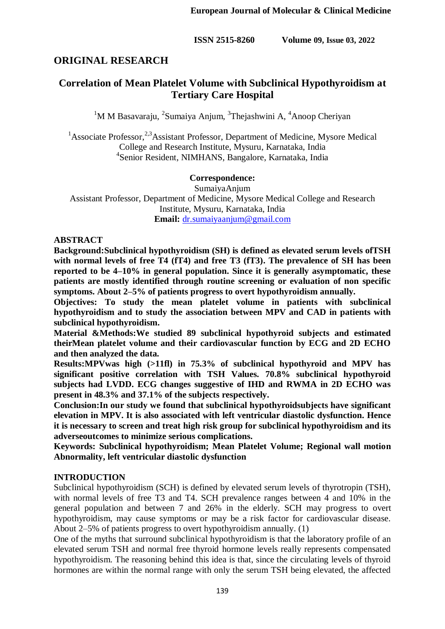# **ORIGINAL RESEARCH**

# **Correlation of Mean Platelet Volume with Subclinical Hypothyroidism at Tertiary Care Hospital**

<sup>1</sup>M M Basavaraju, <sup>2</sup>Sumaiya Anjum, <sup>3</sup>Thejashwini A, <sup>4</sup>Anoop Cheriyan

<sup>1</sup>Associate Professor,  $2.3$ <sup>3</sup>Assistant Professor, Department of Medicine, Mysore Medical College and Research Institute, Mysuru, Karnataka, India 4 Senior Resident, NIMHANS, Bangalore, Karnataka, India

### **Correspondence:**

SumaiyaAnjum Assistant Professor, Department of Medicine, Mysore Medical College and Research Institute, Mysuru, Karnataka, India **Email:** [dr.sumaiyaanjum@gmail.com](mailto:dr.sumaiyaanjum@gmail.com)

### **ABSTRACT**

**Background:Subclinical hypothyroidism (SH) is defined as elevated serum levels ofTSH**  with normal levels of free T4 (fT4) and free T3 (fT3). The prevalence of SH has been **reported to be 4–10% in general population. Since it is generally asymptomatic, these patients are mostly identified through routine screening or evaluation of non specific symptoms. About 2–5% of patients progress to overt hypothyroidism annually.** 

**Objectives: To study the mean platelet volume in patients with subclinical hypothyroidism and to study the association between MPV and CAD in patients with subclinical hypothyroidism.** 

**Material &Methods:We studied 89 subclinical hypothyroid subjects and estimated theirMean platelet volume and their cardiovascular function by ECG and 2D ECHO and then analyzed the data.** 

**Results:MPVwas high (>11fl) in 75.3% of subclinical hypothyroid and MPV has significant positive correlation with TSH Values. 70.8% subclinical hypothyroid subjects had LVDD. ECG changes suggestive of IHD and RWMA in 2D ECHO was present in 48.3% and 37.1% of the subjects respectively.**

**Conclusion:In our study we found that subclinical hypothyroidsubjects have significant elevation in MPV. It is also associated with left ventricular diastolic dysfunction. Hence it is necessary to screen and treat high risk group for subclinical hypothyroidism and its adverseoutcomes to minimize serious complications.**

**Keywords: Subclinical hypothyroidism; Mean Platelet Volume; Regional wall motion Abnormality, left ventricular diastolic dysfunction**

## **INTRODUCTION**

Subclinical hypothyroidism (SCH) is defined by elevated serum levels of thyrotropin (TSH), with normal levels of free T3 and T4. SCH prevalence ranges between 4 and 10% in the general population and between 7 and 26% in the elderly. SCH may progress to overt hypothyroidism, may cause symptoms or may be a risk factor for cardiovascular disease. About 2–5% of patients progress to overt hypothyroidism annually. (1)

One of the myths that surround subclinical hypothyroidism is that the laboratory profile of an elevated serum TSH and normal free thyroid hormone levels really represents compensated hypothyroidism. The reasoning behind this idea is that, since the circulating levels of thyroid hormones are within the normal range with only the serum TSH being elevated, the affected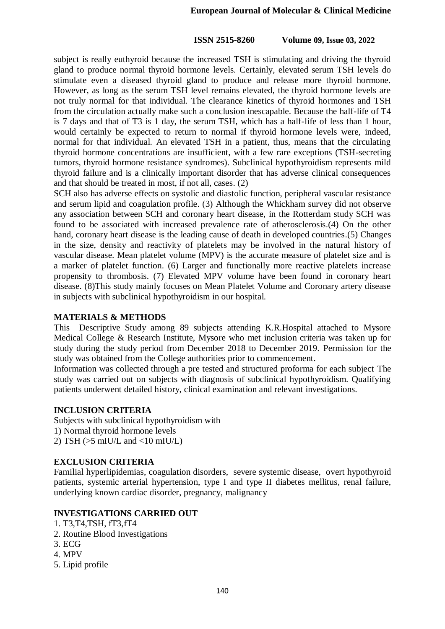subject is really euthyroid because the increased TSH is stimulating and driving the thyroid gland to produce normal thyroid hormone levels. Certainly, elevated serum TSH levels do stimulate even a diseased thyroid gland to produce and release more thyroid hormone. However, as long as the serum TSH level remains elevated, the thyroid hormone levels are not truly normal for that individual. The clearance kinetics of thyroid hormones and TSH from the circulation actually make such a conclusion inescapable. Because the half-life of T4 is 7 days and that of T3 is 1 day, the serum TSH, which has a half-life of less than 1 hour, would certainly be expected to return to normal if thyroid hormone levels were, indeed, normal for that individual. An elevated TSH in a patient, thus, means that the circulating thyroid hormone concentrations are insufficient, with a few rare exceptions (TSH-secreting tumors, thyroid hormone resistance syndromes). Subclinical hypothyroidism represents mild thyroid failure and is a clinically important disorder that has adverse clinical consequences and that should be treated in most, if not all, cases. (2)

SCH also has adverse effects on systolic and diastolic function, peripheral vascular resistance and serum lipid and coagulation profile. (3) Although the Whickham survey did not observe any association between SCH and coronary heart disease, in the Rotterdam study SCH was found to be associated with increased prevalence rate of atherosclerosis.(4) On the other hand, coronary heart disease is the leading cause of death in developed countries.(5) Changes in the size, density and reactivity of platelets may be involved in the natural history of vascular disease. Mean platelet volume (MPV) is the accurate measure of platelet size and is a marker of platelet function. (6) Larger and functionally more reactive platelets increase propensity to thrombosis. (7) Elevated MPV volume have been found in coronary heart disease. (8)This study mainly focuses on Mean Platelet Volume and Coronary artery disease in subjects with subclinical hypothyroidism in our hospital.

#### **MATERIALS & METHODS**

This Descriptive Study among 89 subjects attending K.R.Hospital attached to Mysore Medical College & Research Institute, Mysore who met inclusion criteria was taken up for study during the study period from December 2018 to December 2019. Permission for the study was obtained from the College authorities prior to commencement.

Information was collected through a pre tested and structured proforma for each subject The study was carried out on subjects with diagnosis of subclinical hypothyroidism. Qualifying patients underwent detailed history, clinical examination and relevant investigations.

#### **INCLUSION CRITERIA**

Subjects with subclinical hypothyroidism with 1) Normal thyroid hormone levels 2) TSH ( $>5$  mIU/L and  $<10$  mIU/L)

#### **EXCLUSION CRITERIA**

Familial hyperlipidemias, coagulation disorders, severe systemic disease, overt hypothyroid patients, systemic arterial hypertension, type I and type II diabetes mellitus, renal failure, underlying known cardiac disorder, pregnancy, malignancy

#### **INVESTIGATIONS CARRIED OUT**

- 1. T3,T4,TSH, fT3,fT4
- 2. Routine Blood Investigations
- 3. ECG
- 4. MPV
- 5. Lipid profile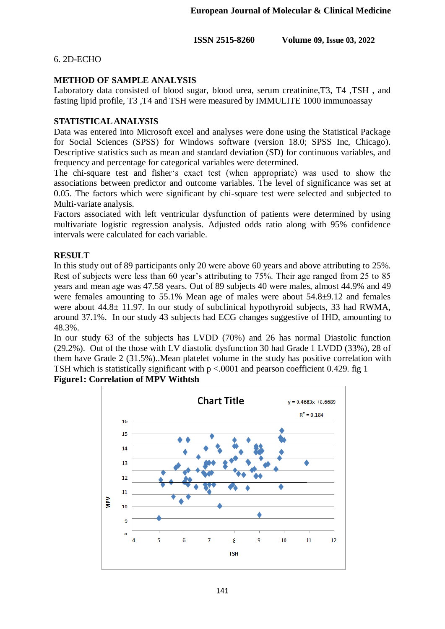6. 2D-ECHO

# **METHOD OF SAMPLE ANALYSIS**

Laboratory data consisted of blood sugar, blood urea, serum creatinine,T3, T4 ,TSH , and fasting lipid profile, T3 ,T4 and TSH were measured by IMMULITE 1000 immunoassay

## **STATISTICAL ANALYSIS**

Data was entered into Microsoft excel and analyses were done using the Statistical Package for Social Sciences (SPSS) for Windows software (version 18.0; SPSS Inc, Chicago). Descriptive statistics such as mean and standard deviation (SD) for continuous variables, and frequency and percentage for categorical variables were determined.

The chi-square test and fisher's exact test (when appropriate) was used to show the associations between predictor and outcome variables. The level of significance was set at 0.05. The factors which were significant by chi-square test were selected and subjected to Multi-variate analysis.

Factors associated with left ventricular dysfunction of patients were determined by using multivariate logistic regression analysis. Adjusted odds ratio along with 95% confidence intervals were calculated for each variable.

## **RESULT**

In this study out of 89 participants only 20 were above 60 years and above attributing to 25%. Rest of subjects were less than 60 year's attributing to 75%. Their age ranged from 25 to 85 years and mean age was 47.58 years. Out of 89 subjects 40 were males, almost 44.9% and 49 were females amounting to 55.1% Mean age of males were about 54.8±9.12 and females were about  $44.8 \pm 11.97$ . In our study of subclinical hypothyroid subjects, 33 had RWMA, around 37.1%. In our study 43 subjects had ECG changes suggestive of IHD, amounting to 48.3%.

In our study 63 of the subjects has LVDD (70%) and 26 has normal Diastolic function (29.2%). Out of the those with LV diastolic dysfunction 30 had Grade 1 LVDD (33%), 28 of them have Grade 2 (31.5%)..Mean platelet volume in the study has positive correlation with TSH which is statistically significant with  $p < 0.0001$  and pearson coefficient 0.429. fig 1 **Figure1: Correlation of MPV Withtsh**

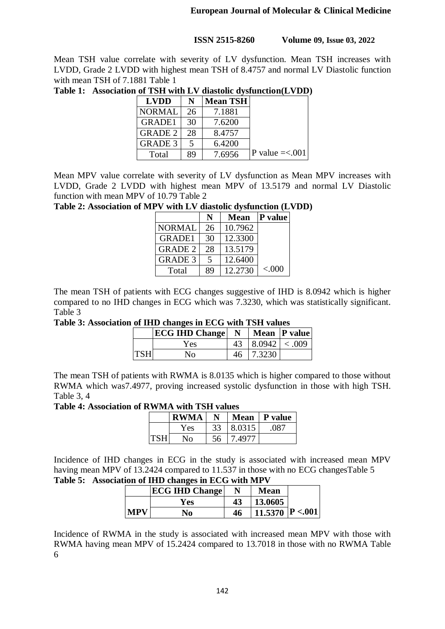Mean TSH value correlate with severity of LV dysfunction. Mean TSH increases with LVDD, Grade 2 LVDD with highest mean TSH of 8.4757 and normal LV Diastolic function with mean TSH of 7.1881 Table 1

| <b>LVDD</b>    |    | <b>Mean TSH</b> |                            |
|----------------|----|-----------------|----------------------------|
| <b>NORMAL</b>  | 26 | 7.1881          |                            |
| <b>GRADE1</b>  | 30 | 7.6200          |                            |
| <b>GRADE 2</b> | 28 | 8.4757          |                            |
| <b>GRADE 3</b> |    | 6.4200          |                            |
| Total          | 89 | 7.6956          | $\text{P value} = < 0.001$ |

**Table 1: Association of TSH with LV diastolic dysfunction(LVDD)**

Mean MPV value correlate with severity of LV dysfunction as Mean MPV increases with LVDD, Grade 2 LVDD with highest mean MPV of 13.5179 and normal LV Diastolic function with mean MPV of 10.79 Table 2

**Table 2: Association of MPV with LV diastolic dysfunction (LVDD)**

|                | N  | <b>Mean</b> | <b>P</b> value |
|----------------|----|-------------|----------------|
| <b>NORMAL</b>  | 26 | 10.7962     |                |
| <b>GRADE1</b>  | 30 | 12.3300     |                |
| <b>GRADE 2</b> | 28 | 13.5179     |                |
| <b>GRADE 3</b> | 5  | 12.6400     |                |
| Total          | 89 | 12.2730     | ${<}000$       |

The mean TSH of patients with ECG changes suggestive of IHD is 8.0942 which is higher compared to no IHD changes in ECG which was 7.3230, which was statistically significant. Table 3

**Table 3: Association of IHD changes in ECG with TSH values**

|            | <b>ECG IHD Change</b> | N |                    | Mean   P value |
|------------|-----------------------|---|--------------------|----------------|
|            | Yes                   |   | $8.0942 \leq .009$ |                |
| <b>TSH</b> | No                    |   | 7.3230             |                |

The mean TSH of patients with RWMA is 8.0135 which is higher compared to those without RWMA which was7.4977, proving increased systolic dysfunction in those with high TSH. Table 3, 4

#### **Table 4: Association of RWMA with TSH values**

|            | <b>RWMA</b>  | N  |        | Mean $\vert$ P value |
|------------|--------------|----|--------|----------------------|
|            | Yes          | 33 | 8.0315 | .087                 |
| <b>TSH</b> | $N_{\Omega}$ | 56 | 7.4977 |                      |

Incidence of IHD changes in ECG in the study is associated with increased mean MPV having mean MPV of 13.2424 compared to 11.537 in those with no ECG changesTable 5 **Table 5: Association of IHD changes in ECG with MPV** 

|            | <b>ECG IHD Change</b> |    | Mean             |  |
|------------|-----------------------|----|------------------|--|
|            | Yes                   | 43 | 13.0605          |  |
| <b>MPV</b> | No                    | 46 | 11.5370  P <.001 |  |

Incidence of RWMA in the study is associated with increased mean MPV with those with RWMA having mean MPV of 15.2424 compared to 13.7018 in those with no RWMA Table 6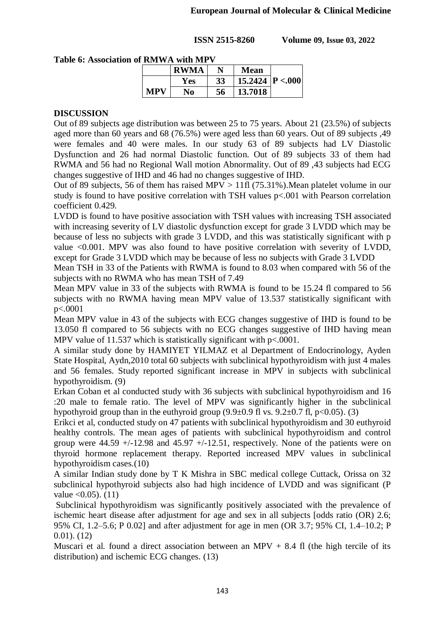| ' KMWA with MPV |             |    |                  |  |  |
|-----------------|-------------|----|------------------|--|--|
|                 | <b>RWMA</b> |    | <b>Mean</b>      |  |  |
|                 | Yes         | 33 | 15.2424  P <.000 |  |  |
| <b>MPV</b>      | No          | 56 | 13.7018          |  |  |

# **Table 6: Association of RMWA with MPV**

## **DISCUSSION**

Out of 89 subjects age distribution was between 25 to 75 years. About 21 (23.5%) of subjects aged more than 60 years and 68 (76.5%) were aged less than 60 years. Out of 89 subjects ,49 were females and 40 were males. In our study 63 of 89 subjects had LV Diastolic Dysfunction and 26 had normal Diastolic function. Out of 89 subjects 33 of them had RWMA and 56 had no Regional Wall motion Abnormality. Out of 89 ,43 subjects had ECG changes suggestive of IHD and 46 had no changes suggestive of IHD.

Out of 89 subjects, 56 of them has raised MPV > 11fl (75.31%).Mean platelet volume in our study is found to have positive correlation with TSH values p<.001 with Pearson correlation coefficient 0.429.

LVDD is found to have positive association with TSH values with increasing TSH associated with increasing severity of LV diastolic dysfunction except for grade 3 LVDD which may be because of less no subjects with grade 3 LVDD, and this was statistically significant with p value <0.001. MPV was also found to have positive correlation with severity of LVDD, except for Grade 3 LVDD which may be because of less no subjects with Grade 3 LVDD

Mean TSH in 33 of the Patients with RWMA is found to 8.03 when compared with 56 of the subjects with no RWMA who has mean TSH of 7.49

Mean MPV value in 33 of the subjects with RWMA is found to be 15.24 fl compared to 56 subjects with no RWMA having mean MPV value of 13.537 statistically significant with p<.0001

Mean MPV value in 43 of the subjects with ECG changes suggestive of IHD is found to be 13.050 fl compared to 56 subjects with no ECG changes suggestive of IHD having mean MPV value of 11.537 which is statistically significant with  $p<0.0001$ .

A similar study done by HAMIYET YILMAZ et al Department of Endocrinology, Ayden State Hospital, Aydn,2010 total 60 subjects with subclinical hypothyroidism with just 4 males and 56 females. Study reported significant increase in MPV in subjects with subclinical hypothyroidism. (9)

Erkan Coban et al conducted study with 36 subjects with subclinical hypothyroidism and 16 :20 male to female ratio. The level of MPV was significantly higher in the subclinical hypothyroid group than in the euthyroid group  $(9.9\pm0.9 \text{ fl vs. } 9.2\pm0.7 \text{ fl, } p<0.05)$ . (3)

Erikci et al, conducted study on 47 patients with subclinical hypothyroidism and 30 euthyroid healthy controls. The mean ages of patients with subclinical hypothyroidism and control group were  $44.59 + (-12.98$  and  $45.97 + (-12.51$ , respectively. None of the patients were on thyroid hormone replacement therapy. Reported increased MPV values in subclinical hypothyroidism cases.(10)

A similar Indian study done by T K Mishra in SBC medical college Cuttack, Orissa on 32 subclinical hypothyroid subjects also had high incidence of LVDD and was significant (P value  $\leq 0.05$ ). (11)

Subclinical hypothyroidism was significantly positively associated with the prevalence of ischemic heart disease after adjustment for age and sex in all subjects [odds ratio (OR) 2.6; 95% CI, 1.2–5.6; P 0.02] and after adjustment for age in men (OR 3.7; 95% CI, 1.4–10.2; P 0.01). (12)

Muscari et al. found a direct association between an MPV  $+ 8.4$  fl (the high tercile of its distribution) and ischemic ECG changes. (13)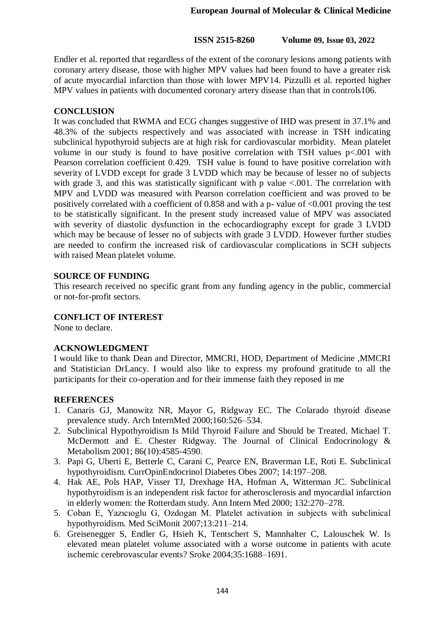Endler et al. reported that regardless of the extent of the coronary lesions among patients with coronary artery disease, those with higher MPV values had been found to have a greater risk of acute myocardial infarction than those with lower MPV14. Pizzulli et al. reported higher MPV values in patients with documented coronary artery disease than that in controls106.

### **CONCLUSION**

It was concluded that RWMA and ECG changes suggestive of IHD was present in 37.1% and 48.3% of the subjects respectively and was associated with increase in TSH indicating subclinical hypothyroid subjects are at high risk for cardiovascular morbidity. Mean platelet volume in our study is found to have positive correlation with TSH values p<.001 with Pearson correlation coefficient 0.429. TSH value is found to have positive correlation with severity of LVDD except for grade 3 LVDD which may be because of lesser no of subjects with grade 3, and this was statistically significant with p value  $\leq 0.001$ . The correlation with MPV and LVDD was measured with Pearson correlation coefficient and was proved to be positively correlated with a coefficient of 0.858 and with a p- value of <0.001 proving the test to be statistically significant. In the present study increased value of MPV was associated with severity of diastolic dysfunction in the echocardiography except for grade 3 LVDD which may be because of lesser no of subjects with grade 3 LVDD. However further studies are needed to confirm the increased risk of cardiovascular complications in SCH subjects with raised Mean platelet volume.

## **SOURCE OF FUNDING**

This research received no specific grant from any funding agency in the public, commercial or not-for-profit sectors.

#### **CONFLICT OF INTEREST**

None to declare.

## **ACKNOWLEDGMENT**

I would like to thank Dean and Director, MMCRI, HOD, Department of Medicine ,MMCRI and Statistician DrLancy. I would also like to express my profound gratitude to all the participants for their co-operation and for their immense faith they reposed in me

## **REFERENCES**

- 1. Canaris GJ, Manowitz NR, Mayor G, Ridgway EC. The Colarado thyroid disease prevalence study. Arch InternMed 2000;160:526–534.
- 2. Subclinical Hypothyroidism Is Mild Thyroid Failure and Should be Treated. Michael T. McDermott and E. Chester Ridgway. The Journal of Clinical Endocrinology & Metabolism 2001; 86(10):4585-4590.
- 3. Papi G, Uberti E, Betterle C, Carani C, Pearce EN, Braverman LE, Roti E. Subclinical hypothyroidism. CurrOpinEndocrinol Diabetes Obes 2007; 14:197–208.
- 4. Hak AE, Pols HAP, Visser TJ, Drexhage HA, Hofman A, Witterman JC. Subclinical hypothyroidism is an independent risk factor for atherosclerosis and myocardial infarction in elderly women: the Rotterdam study. Ann Intern Med 2000; 132:270–278.
- 5. Coban E, Yazıcıoglu G, Ozdogan M. Platelet activation in subjects with subclinical hypothyroidism. Med SciMonit 2007;13:211–214.
- 6. Greisenegger S, Endler G, Hsieh K, Tentschert S, Mannhalter C, Lalouschek W. Is elevated mean platelet volume associated with a worse outcome in patients with acute ischemic cerebrovascular events? Sroke 2004;35:1688–1691.